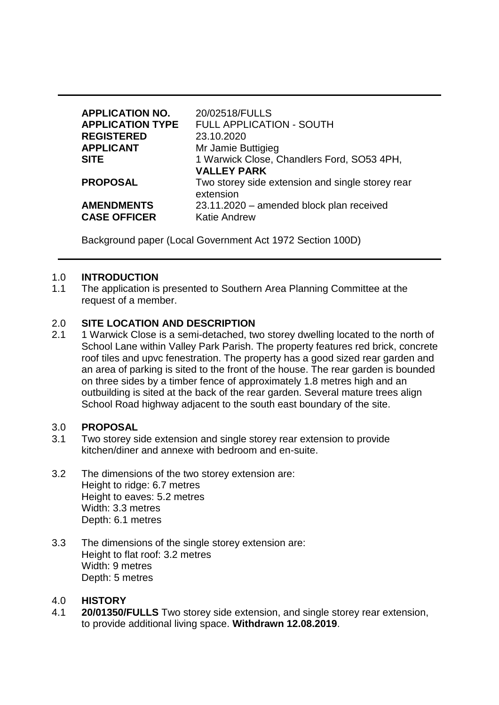| <b>APPLICATION NO.</b><br><b>APPLICATION TYPE</b><br><b>REGISTERED</b> | 20/02518/FULLS<br><b>FULL APPLICATION - SOUTH</b><br>23.10.2020 |
|------------------------------------------------------------------------|-----------------------------------------------------------------|
| <b>APPLICANT</b>                                                       | Mr Jamie Buttigieg                                              |
| <b>SITE</b>                                                            | 1 Warwick Close, Chandlers Ford, SO53 4PH,                      |
|                                                                        | <b>VALLEY PARK</b>                                              |
| <b>PROPOSAL</b>                                                        | Two storey side extension and single storey rear<br>extension   |
| <b>AMENDMENTS</b>                                                      | 23.11.2020 – amended block plan received                        |
| <b>CASE OFFICER</b>                                                    | <b>Katie Andrew</b>                                             |

Background paper (Local Government Act 1972 Section 100D)

### 1.0 **INTRODUCTION**

1.1 The application is presented to Southern Area Planning Committee at the request of a member.

### 2.0 **SITE LOCATION AND DESCRIPTION**

2.1 1 Warwick Close is a semi-detached, two storey dwelling located to the north of School Lane within Valley Park Parish. The property features red brick, concrete roof tiles and upvc fenestration. The property has a good sized rear garden and an area of parking is sited to the front of the house. The rear garden is bounded on three sides by a timber fence of approximately 1.8 metres high and an outbuilding is sited at the back of the rear garden. Several mature trees align School Road highway adjacent to the south east boundary of the site.

### 3.0 **PROPOSAL**

- 3.1 Two storey side extension and single storey rear extension to provide kitchen/diner and annexe with bedroom and en-suite.
- 3.2 The dimensions of the two storey extension are: Height to ridge: 6.7 metres Height to eaves: 5.2 metres Width: 3.3 metres Depth: 6.1 metres
- 3.3 The dimensions of the single storey extension are: Height to flat roof: 3.2 metres Width: 9 metres Depth: 5 metres

### 4.0 **HISTORY**

4.1 **20/01350/FULLS** Two storey side extension, and single storey rear extension, to provide additional living space. **Withdrawn 12.08.2019**.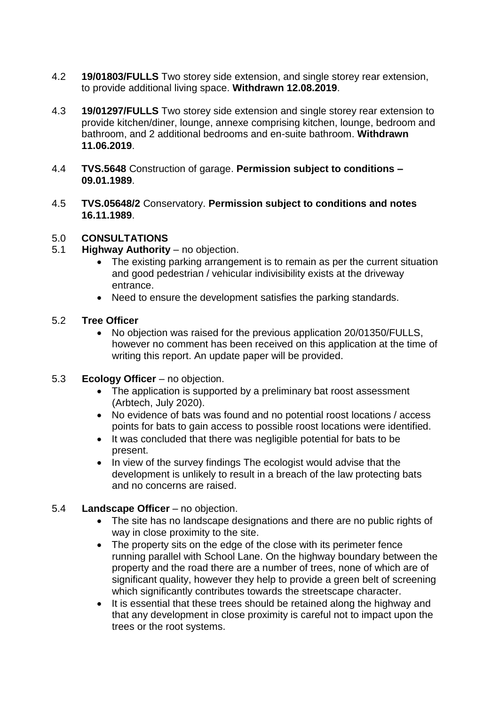- 4.2 **19/01803/FULLS** Two storey side extension, and single storey rear extension, to provide additional living space. **Withdrawn 12.08.2019**.
- 4.3 **19/01297/FULLS** Two storey side extension and single storey rear extension to provide kitchen/diner, lounge, annexe comprising kitchen, lounge, bedroom and bathroom, and 2 additional bedrooms and en-suite bathroom. **Withdrawn 11.06.2019**.
- 4.4 **TVS.5648** Construction of garage. **Permission subject to conditions – 09.01.1989**.
- 4.5 **TVS.05648/2** Conservatory. **Permission subject to conditions and notes 16.11.1989**.

## 5.0 **CONSULTATIONS**

- 5.1 **Highway Authority** no objection.
	- The existing parking arrangement is to remain as per the current situation and good pedestrian / vehicular indivisibility exists at the driveway entrance.
	- Need to ensure the development satisfies the parking standards.

### 5.2 **Tree Officer**

- No objection was raised for the previous application 20/01350/FULLS, however no comment has been received on this application at the time of writing this report. An update paper will be provided.
- 5.3 **Ecology Officer** no objection.
	- The application is supported by a preliminary bat roost assessment (Arbtech, July 2020).
	- No evidence of bats was found and no potential roost locations / access points for bats to gain access to possible roost locations were identified.
	- It was concluded that there was negligible potential for bats to be present.
	- In view of the survey findings The ecologist would advise that the development is unlikely to result in a breach of the law protecting bats and no concerns are raised.

## 5.4 **Landscape Officer** – no objection.

- The site has no landscape designations and there are no public rights of way in close proximity to the site.
- The property sits on the edge of the close with its perimeter fence running parallel with School Lane. On the highway boundary between the property and the road there are a number of trees, none of which are of significant quality, however they help to provide a green belt of screening which significantly contributes towards the streetscape character.
- It is essential that these trees should be retained along the highway and that any development in close proximity is careful not to impact upon the trees or the root systems.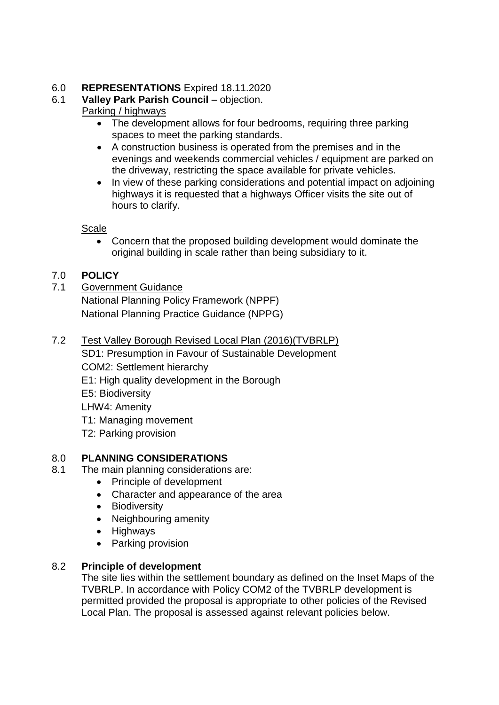## 6.0 **REPRESENTATIONS** Expired 18.11.2020

## 6.1 **Valley Park Parish Council** – objection.

# Parking / highways

- The development allows for four bedrooms, requiring three parking spaces to meet the parking standards.
- A construction business is operated from the premises and in the evenings and weekends commercial vehicles / equipment are parked on the driveway, restricting the space available for private vehicles.
- In view of these parking considerations and potential impact on adjoining highways it is requested that a highways Officer visits the site out of hours to clarify.

Scale

 Concern that the proposed building development would dominate the original building in scale rather than being subsidiary to it.

# 7.0 **POLICY**

7.1 Government Guidance National Planning Policy Framework (NPPF) National Planning Practice Guidance (NPPG)

# 7.2 Test Valley Borough Revised Local Plan (2016)(TVBRLP)

SD1: Presumption in Favour of Sustainable Development

- COM2: Settlement hierarchy
- E1: High quality development in the Borough

E5: Biodiversity

LHW4: Amenity

- T1: Managing movement
- T2: Parking provision

# 8.0 **PLANNING CONSIDERATIONS**

- 8.1 The main planning considerations are:
	- Principle of development
	- Character and appearance of the area
	- Biodiversity
	- Neighbouring amenity
	- Highways
	- Parking provision

# 8.2 **Principle of development**

The site lies within the settlement boundary as defined on the Inset Maps of the TVBRLP. In accordance with Policy COM2 of the TVBRLP development is permitted provided the proposal is appropriate to other policies of the Revised Local Plan. The proposal is assessed against relevant policies below.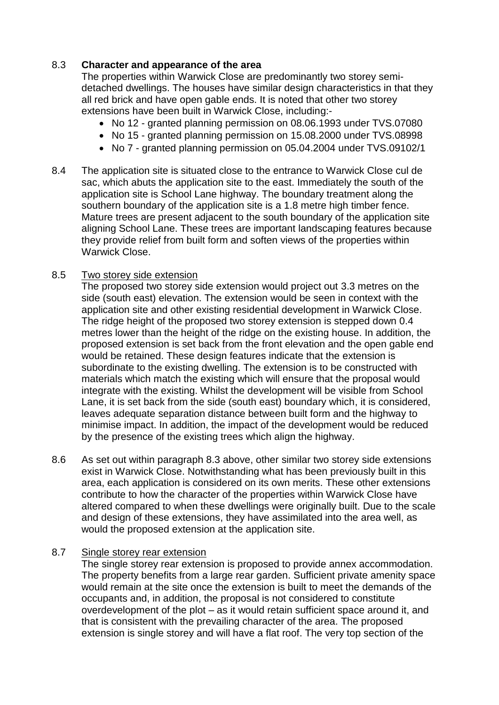## 8.3 **Character and appearance of the area**

The properties within Warwick Close are predominantly two storey semidetached dwellings. The houses have similar design characteristics in that they all red brick and have open gable ends. It is noted that other two storey extensions have been built in Warwick Close, including:-

- No 12 granted planning permission on 08.06.1993 under TVS.07080
- No 15 granted planning permission on 15.08.2000 under TVS.08998
- No 7 granted planning permission on 05.04.2004 under TVS.09102/1
- 8.4 The application site is situated close to the entrance to Warwick Close cul de sac, which abuts the application site to the east. Immediately the south of the application site is School Lane highway. The boundary treatment along the southern boundary of the application site is a 1.8 metre high timber fence. Mature trees are present adjacent to the south boundary of the application site aligning School Lane. These trees are important landscaping features because they provide relief from built form and soften views of the properties within Warwick Close.

## 8.5 Two storey side extension

The proposed two storey side extension would project out 3.3 metres on the side (south east) elevation. The extension would be seen in context with the application site and other existing residential development in Warwick Close. The ridge height of the proposed two storey extension is stepped down 0.4 metres lower than the height of the ridge on the existing house. In addition, the proposed extension is set back from the front elevation and the open gable end would be retained. These design features indicate that the extension is subordinate to the existing dwelling. The extension is to be constructed with materials which match the existing which will ensure that the proposal would integrate with the existing. Whilst the development will be visible from School Lane, it is set back from the side (south east) boundary which, it is considered, leaves adequate separation distance between built form and the highway to minimise impact. In addition, the impact of the development would be reduced by the presence of the existing trees which align the highway.

8.6 As set out within paragraph 8.3 above, other similar two storey side extensions exist in Warwick Close. Notwithstanding what has been previously built in this area, each application is considered on its own merits. These other extensions contribute to how the character of the properties within Warwick Close have altered compared to when these dwellings were originally built. Due to the scale and design of these extensions, they have assimilated into the area well, as would the proposed extension at the application site.

## 8.7 Single storey rear extension

The single storey rear extension is proposed to provide annex accommodation. The property benefits from a large rear garden. Sufficient private amenity space would remain at the site once the extension is built to meet the demands of the occupants and, in addition, the proposal is not considered to constitute overdevelopment of the plot – as it would retain sufficient space around it, and that is consistent with the prevailing character of the area. The proposed extension is single storey and will have a flat roof. The very top section of the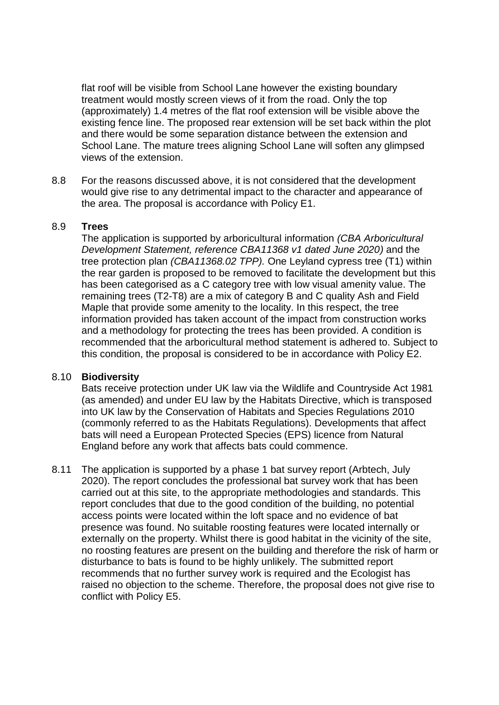flat roof will be visible from School Lane however the existing boundary treatment would mostly screen views of it from the road. Only the top (approximately) 1.4 metres of the flat roof extension will be visible above the existing fence line. The proposed rear extension will be set back within the plot and there would be some separation distance between the extension and School Lane. The mature trees aligning School Lane will soften any glimpsed views of the extension.

8.8 For the reasons discussed above, it is not considered that the development would give rise to any detrimental impact to the character and appearance of the area. The proposal is accordance with Policy E1.

#### 8.9 **Trees**

The application is supported by arboricultural information *(CBA Arboricultural Development Statement, reference CBA11368 v1 dated June 2020)* and the tree protection plan *(CBA11368.02 TPP).* One Leyland cypress tree (T1) within the rear garden is proposed to be removed to facilitate the development but this has been categorised as a C category tree with low visual amenity value. The remaining trees (T2-T8) are a mix of category B and C quality Ash and Field Maple that provide some amenity to the locality. In this respect, the tree information provided has taken account of the impact from construction works and a methodology for protecting the trees has been provided. A condition is recommended that the arboricultural method statement is adhered to. Subject to this condition, the proposal is considered to be in accordance with Policy E2.

### 8.10 **Biodiversity**

Bats receive protection under UK law via the Wildlife and Countryside Act 1981 (as amended) and under EU law by the Habitats Directive, which is transposed into UK law by the Conservation of Habitats and Species Regulations 2010 (commonly referred to as the Habitats Regulations). Developments that affect bats will need a European Protected Species (EPS) licence from Natural England before any work that affects bats could commence.

8.11 The application is supported by a phase 1 bat survey report (Arbtech, July 2020). The report concludes the professional bat survey work that has been carried out at this site, to the appropriate methodologies and standards. This report concludes that due to the good condition of the building, no potential access points were located within the loft space and no evidence of bat presence was found. No suitable roosting features were located internally or externally on the property. Whilst there is good habitat in the vicinity of the site, no roosting features are present on the building and therefore the risk of harm or disturbance to bats is found to be highly unlikely. The submitted report recommends that no further survey work is required and the Ecologist has raised no objection to the scheme. Therefore, the proposal does not give rise to conflict with Policy E5.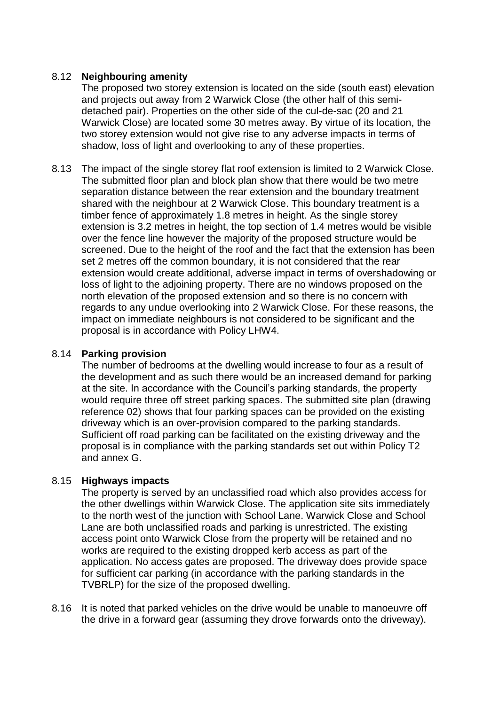### 8.12 **Neighbouring amenity**

The proposed two storey extension is located on the side (south east) elevation and projects out away from 2 Warwick Close (the other half of this semidetached pair). Properties on the other side of the cul-de-sac (20 and 21 Warwick Close) are located some 30 metres away. By virtue of its location, the two storey extension would not give rise to any adverse impacts in terms of shadow, loss of light and overlooking to any of these properties.

8.13 The impact of the single storey flat roof extension is limited to 2 Warwick Close. The submitted floor plan and block plan show that there would be two metre separation distance between the rear extension and the boundary treatment shared with the neighbour at 2 Warwick Close. This boundary treatment is a timber fence of approximately 1.8 metres in height. As the single storey extension is 3.2 metres in height, the top section of 1.4 metres would be visible over the fence line however the majority of the proposed structure would be screened. Due to the height of the roof and the fact that the extension has been set 2 metres off the common boundary, it is not considered that the rear extension would create additional, adverse impact in terms of overshadowing or loss of light to the adjoining property. There are no windows proposed on the north elevation of the proposed extension and so there is no concern with regards to any undue overlooking into 2 Warwick Close. For these reasons, the impact on immediate neighbours is not considered to be significant and the proposal is in accordance with Policy LHW4.

### 8.14 **Parking provision**

The number of bedrooms at the dwelling would increase to four as a result of the development and as such there would be an increased demand for parking at the site. In accordance with the Council's parking standards, the property would require three off street parking spaces. The submitted site plan (drawing reference 02) shows that four parking spaces can be provided on the existing driveway which is an over-provision compared to the parking standards. Sufficient off road parking can be facilitated on the existing driveway and the proposal is in compliance with the parking standards set out within Policy T2 and annex G.

### 8.15 **Highways impacts**

The property is served by an unclassified road which also provides access for the other dwellings within Warwick Close. The application site sits immediately to the north west of the junction with School Lane. Warwick Close and School Lane are both unclassified roads and parking is unrestricted. The existing access point onto Warwick Close from the property will be retained and no works are required to the existing dropped kerb access as part of the application. No access gates are proposed. The driveway does provide space for sufficient car parking (in accordance with the parking standards in the TVBRLP) for the size of the proposed dwelling.

8.16 It is noted that parked vehicles on the drive would be unable to manoeuvre off the drive in a forward gear (assuming they drove forwards onto the driveway).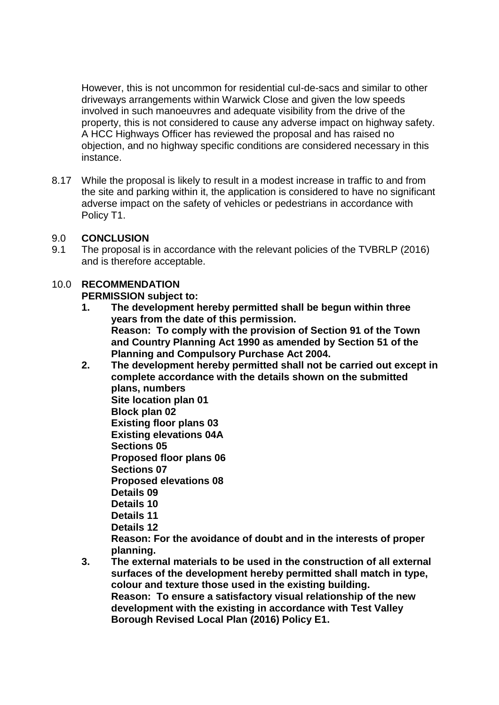However, this is not uncommon for residential cul-de-sacs and similar to other driveways arrangements within Warwick Close and given the low speeds involved in such manoeuvres and adequate visibility from the drive of the property, this is not considered to cause any adverse impact on highway safety. A HCC Highways Officer has reviewed the proposal and has raised no objection, and no highway specific conditions are considered necessary in this instance.

8.17 While the proposal is likely to result in a modest increase in traffic to and from the site and parking within it, the application is considered to have no significant adverse impact on the safety of vehicles or pedestrians in accordance with Policy T1.

## 9.0 **CONCLUSION**

9.1 The proposal is in accordance with the relevant policies of the TVBRLP (2016) and is therefore acceptable.

## 10.0 **RECOMMENDATION**

**PERMISSION subject to:**

- **1. The development hereby permitted shall be begun within three years from the date of this permission. Reason: To comply with the provision of Section 91 of the Town and Country Planning Act 1990 as amended by Section 51 of the Planning and Compulsory Purchase Act 2004.**
- **2. The development hereby permitted shall not be carried out except in complete accordance with the details shown on the submitted plans, numbers Site location plan 01 Block plan 02 Existing floor plans 03 Existing elevations 04A Sections 05 Proposed floor plans 06 Sections 07 Proposed elevations 08 Details 09 Details 10 Details 11 Details 12 Reason: For the avoidance of doubt and in the interests of proper planning.**
- **3. The external materials to be used in the construction of all external surfaces of the development hereby permitted shall match in type, colour and texture those used in the existing building. Reason: To ensure a satisfactory visual relationship of the new development with the existing in accordance with Test Valley Borough Revised Local Plan (2016) Policy E1.**